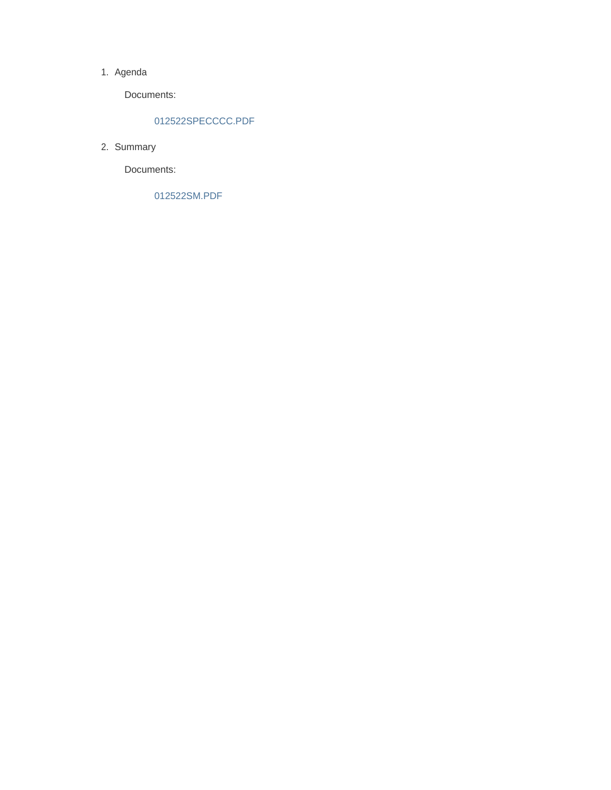## 1. Agenda

Documents:

# 012522SPECCCC.PDF

2. Summary

Documents:

012522SM.PDF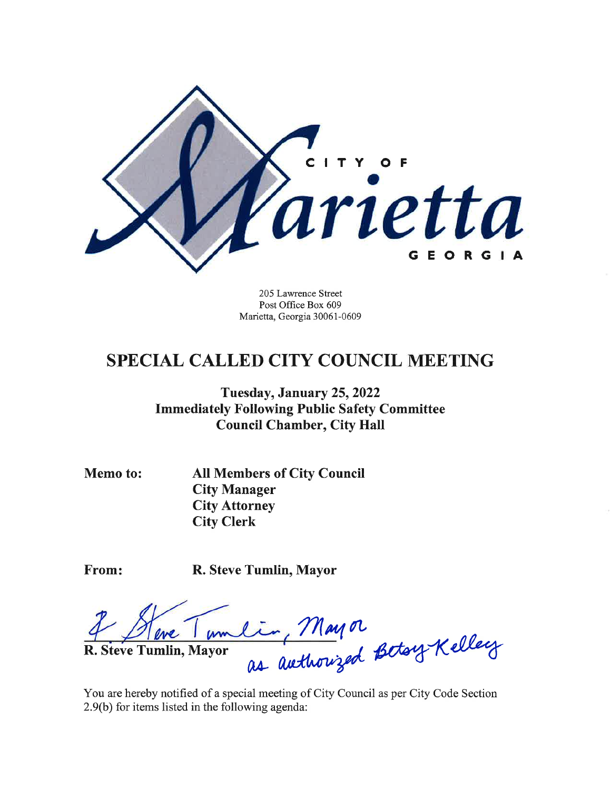

205 Lawrence Street Post Office Box 609 Marietta, Georgia 30061-0609

# **SPECIAL CALLED CITY COUNCIL MEETING**

Tuesday, January 25, 2022 **Immediately Following Public Safety Committee Council Chamber, City Hall** 

Memo to:

**All Members of City Council City Manager City Attorney City Clerk** 

From:

R. Steve Tumlin, Mayor

lin, Mayor<br>as authorized Betory Kelley  $M_{\rm w}$ R. Steve Tumlin, Mayor

You are hereby notified of a special meeting of City Council as per City Code Section 2.9(b) for items listed in the following agenda: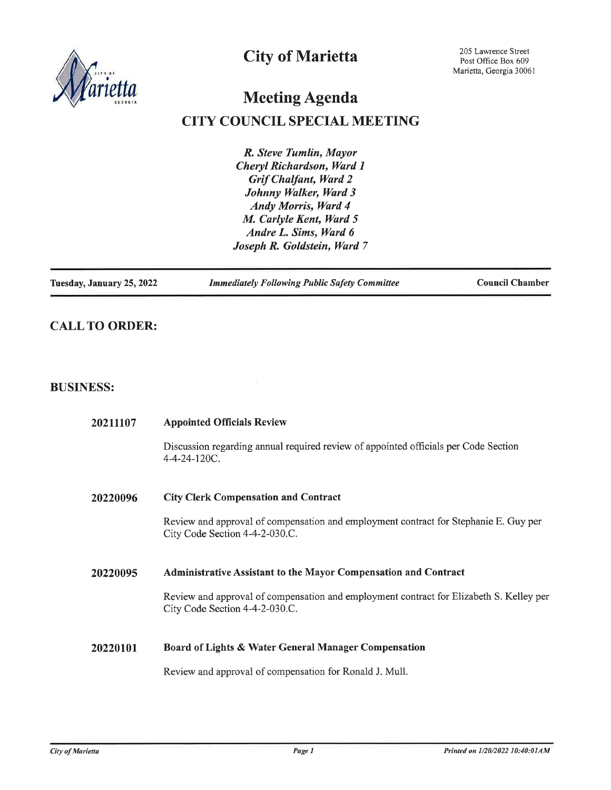

# **City of Marietta**

# **Meeting Agenda**

# **CITY COUNCIL SPECIAL MEETING**

R. Steve Tumlin, Mayor Cheryl Richardson, Ward 1 **Grif Chalfant, Ward 2** Johnny Walker, Ward 3 Andy Morris, Ward 4 M. Carlyle Kent, Ward 5 Andre L. Sims, Ward 6 Joseph R. Goldstein, Ward 7

Tuesday, January 25, 2022

**Immediately Following Public Safety Committee** 

**Council Chamber** 

# **CALL TO ORDER:**

# **BUSINESS:**

| 20211107 | <b>Appointed Officials Review</b>                                                                                         |
|----------|---------------------------------------------------------------------------------------------------------------------------|
|          | Discussion regarding annual required review of appointed officials per Code Section<br>4-4-24-120C.                       |
| 20220096 | <b>City Clerk Compensation and Contract</b>                                                                               |
|          | Review and approval of compensation and employment contract for Stephanie E. Guy per<br>City Code Section 4-4-2-030.C.    |
| 20220095 | <b>Administrative Assistant to the Mayor Compensation and Contract</b>                                                    |
|          | Review and approval of compensation and employment contract for Elizabeth S. Kelley per<br>City Code Section 4-4-2-030.C. |
| 20220101 | Board of Lights & Water General Manager Compensation                                                                      |
|          | Review and approval of compensation for Ronald J. Mull.                                                                   |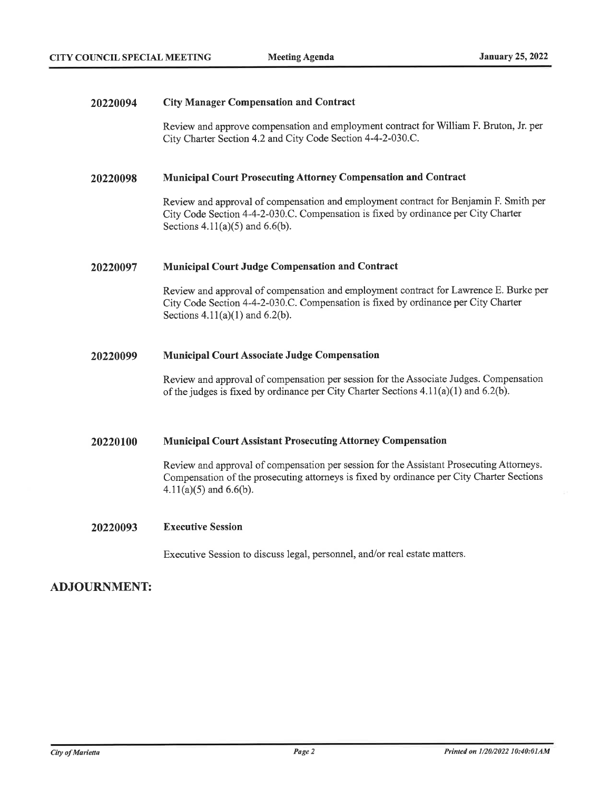#### **City Manager Compensation and Contract** 20220094

Review and approve compensation and employment contract for William F. Bruton, Jr. per City Charter Section 4.2 and City Code Section 4-4-2-030.C.

#### **Municipal Court Prosecuting Attorney Compensation and Contract** 20220098

Review and approval of compensation and employment contract for Benjamin F. Smith per City Code Section 4-4-2-030.C. Compensation is fixed by ordinance per City Charter Sections  $4.11(a)(5)$  and  $6.6(b)$ .

#### **Municipal Court Judge Compensation and Contract** 20220097

Review and approval of compensation and employment contract for Lawrence E. Burke per City Code Section 4-4-2-030.C. Compensation is fixed by ordinance per City Charter Sections  $4.11(a)(1)$  and  $6.2(b)$ .

#### 20220099 **Municipal Court Associate Judge Compensation**

Review and approval of compensation per session for the Associate Judges. Compensation of the judges is fixed by ordinance per City Charter Sections  $4.11(a)(1)$  and  $6.2(b)$ .

#### 20220100 **Municipal Court Assistant Prosecuting Attorney Compensation**

Review and approval of compensation per session for the Assistant Prosecuting Attorneys. Compensation of the prosecuting attorneys is fixed by ordinance per City Charter Sections  $4.11(a)(5)$  and 6.6(b).

#### 20220093 **Executive Session**

Executive Session to discuss legal, personnel, and/or real estate matters.

# **ADJOURNMENT:**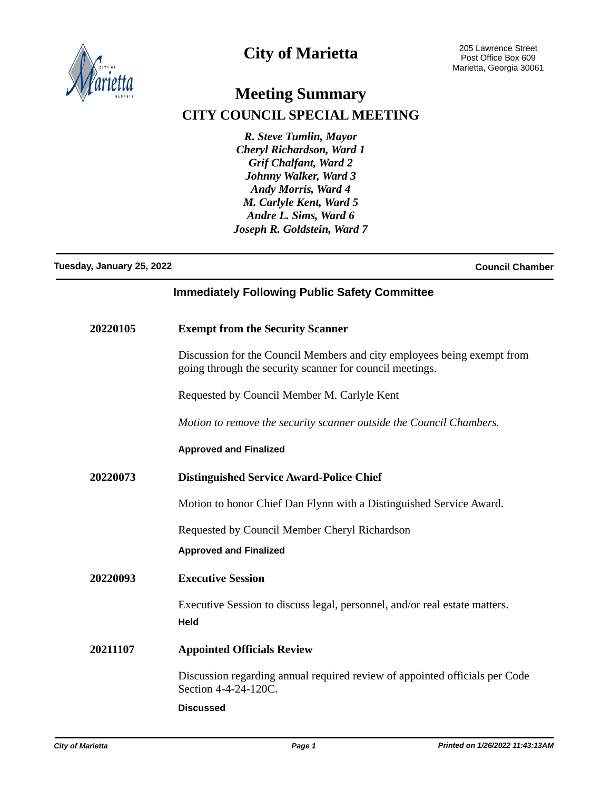

# **City of Marietta**

# **Meeting Summary CITY COUNCIL SPECIAL MEETING**

*R. Steve Tumlin, Mayor Cheryl Richardson, Ward 1 Grif Chalfant, Ward 2 Johnny Walker, Ward 3 Andy Morris, Ward 4 M. Carlyle Kent, Ward 5 Andre L. Sims, Ward 6 Joseph R. Goldstein, Ward 7*

# **Tuesday, January 25, 2022 Council Chamber**

# **Immediately Following Public Safety Committee**

| 20220105 | <b>Exempt from the Security Scanner</b>                                                                                             |
|----------|-------------------------------------------------------------------------------------------------------------------------------------|
|          | Discussion for the Council Members and city employees being exempt from<br>going through the security scanner for council meetings. |
|          | Requested by Council Member M. Carlyle Kent                                                                                         |
|          | Motion to remove the security scanner outside the Council Chambers.                                                                 |
|          | <b>Approved and Finalized</b>                                                                                                       |
| 20220073 | <b>Distinguished Service Award-Police Chief</b>                                                                                     |
|          | Motion to honor Chief Dan Flynn with a Distinguished Service Award.                                                                 |
|          | Requested by Council Member Cheryl Richardson                                                                                       |
|          | <b>Approved and Finalized</b>                                                                                                       |
| 20220093 | <b>Executive Session</b>                                                                                                            |
|          | Executive Session to discuss legal, personnel, and/or real estate matters.<br><b>Held</b>                                           |
| 20211107 | <b>Appointed Officials Review</b>                                                                                                   |
|          | Discussion regarding annual required review of appointed officials per Code<br>Section 4-4-24-120C.                                 |
|          | <b>Discussed</b>                                                                                                                    |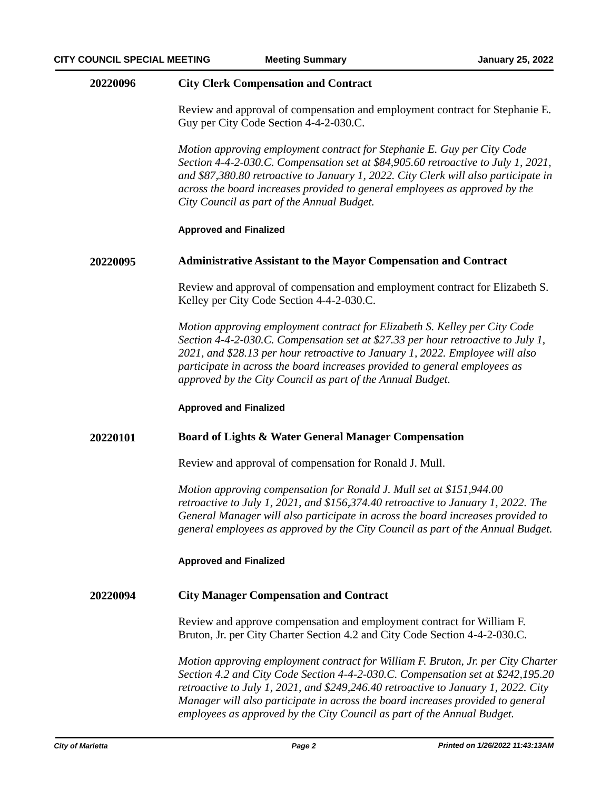# **20220096 City Clerk Compensation and Contract**

Review and approval of compensation and employment contract for Stephanie E. Guy per City Code Section 4-4-2-030.C.

*Motion approving employment contract for Stephanie E. Guy per City Code Section 4-4-2-030.C. Compensation set at \$84,905.60 retroactive to July 1, 2021, and \$87,380.80 retroactive to January 1, 2022. City Clerk will also participate in across the board increases provided to general employees as approved by the City Council as part of the Annual Budget.*

## **Approved and Finalized**

## **20220095 Administrative Assistant to the Mayor Compensation and Contract**

Review and approval of compensation and employment contract for Elizabeth S. Kelley per City Code Section 4-4-2-030.C.

*Motion approving employment contract for Elizabeth S. Kelley per City Code Section 4-4-2-030.C. Compensation set at \$27.33 per hour retroactive to July 1, 2021, and \$28.13 per hour retroactive to January 1, 2022. Employee will also participate in across the board increases provided to general employees as approved by the City Council as part of the Annual Budget.*

### **Approved and Finalized**

# **20220101 Board of Lights & Water General Manager Compensation**

Review and approval of compensation for Ronald J. Mull.

*Motion approving compensation for Ronald J. Mull set at \$151,944.00 retroactive to July 1, 2021, and \$156,374.40 retroactive to January 1, 2022. The General Manager will also participate in across the board increases provided to general employees as approved by the City Council as part of the Annual Budget.*

### **Approved and Finalized**

# **20220094 City Manager Compensation and Contract**

Review and approve compensation and employment contract for William F. Bruton, Jr. per City Charter Section 4.2 and City Code Section 4-4-2-030.C.

*Motion approving employment contract for William F. Bruton, Jr. per City Charter Section 4.2 and City Code Section 4-4-2-030.C. Compensation set at \$242,195.20 retroactive to July 1, 2021, and \$249,246.40 retroactive to January 1, 2022. City Manager will also participate in across the board increases provided to general employees as approved by the City Council as part of the Annual Budget.*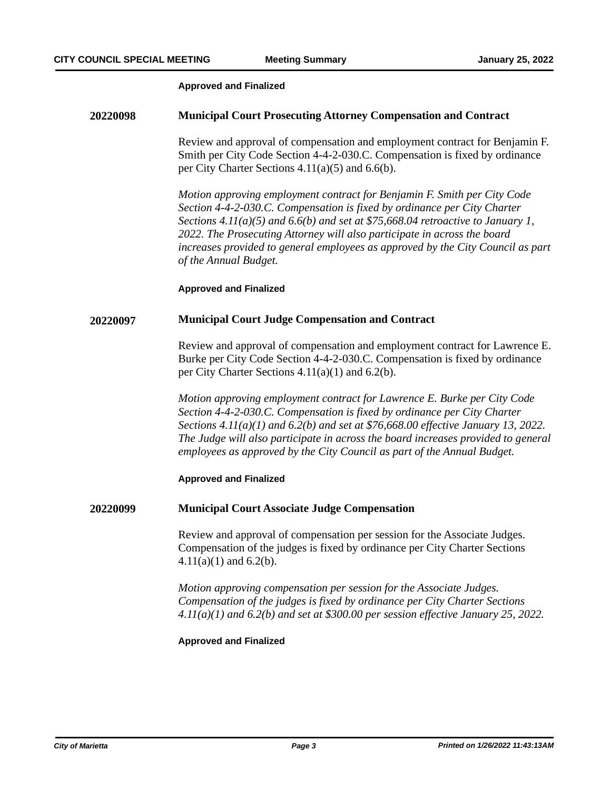### **Approved and Finalized**

# **20220098 Municipal Court Prosecuting Attorney Compensation and Contract**

Review and approval of compensation and employment contract for Benjamin F. Smith per City Code Section 4-4-2-030.C. Compensation is fixed by ordinance per City Charter Sections 4.11(a)(5) and 6.6(b).

*Motion approving employment contract for Benjamin F. Smith per City Code Section 4-4-2-030.C. Compensation is fixed by ordinance per City Charter Sections 4.11(a)(5) and 6.6(b) and set at \$75,668.04 retroactive to January 1, 2022. The Prosecuting Attorney will also participate in across the board increases provided to general employees as approved by the City Council as part of the Annual Budget.*

**Approved and Finalized**

## **20220097 Municipal Court Judge Compensation and Contract**

Review and approval of compensation and employment contract for Lawrence E. Burke per City Code Section 4-4-2-030.C. Compensation is fixed by ordinance per City Charter Sections 4.11(a)(1) and 6.2(b).

*Motion approving employment contract for Lawrence E. Burke per City Code Section 4-4-2-030.C. Compensation is fixed by ordinance per City Charter Sections 4.11(a)(1) and 6.2(b) and set at \$76,668.00 effective January 13, 2022. The Judge will also participate in across the board increases provided to general employees as approved by the City Council as part of the Annual Budget.*

### **Approved and Finalized**

### **20220099 Municipal Court Associate Judge Compensation**

Review and approval of compensation per session for the Associate Judges. Compensation of the judges is fixed by ordinance per City Charter Sections  $4.11(a)(1)$  and 6.2(b).

*Motion approving compensation per session for the Associate Judges. Compensation of the judges is fixed by ordinance per City Charter Sections 4.11(a)(1) and 6.2(b) and set at \$300.00 per session effective January 25, 2022.*

## **Approved and Finalized**